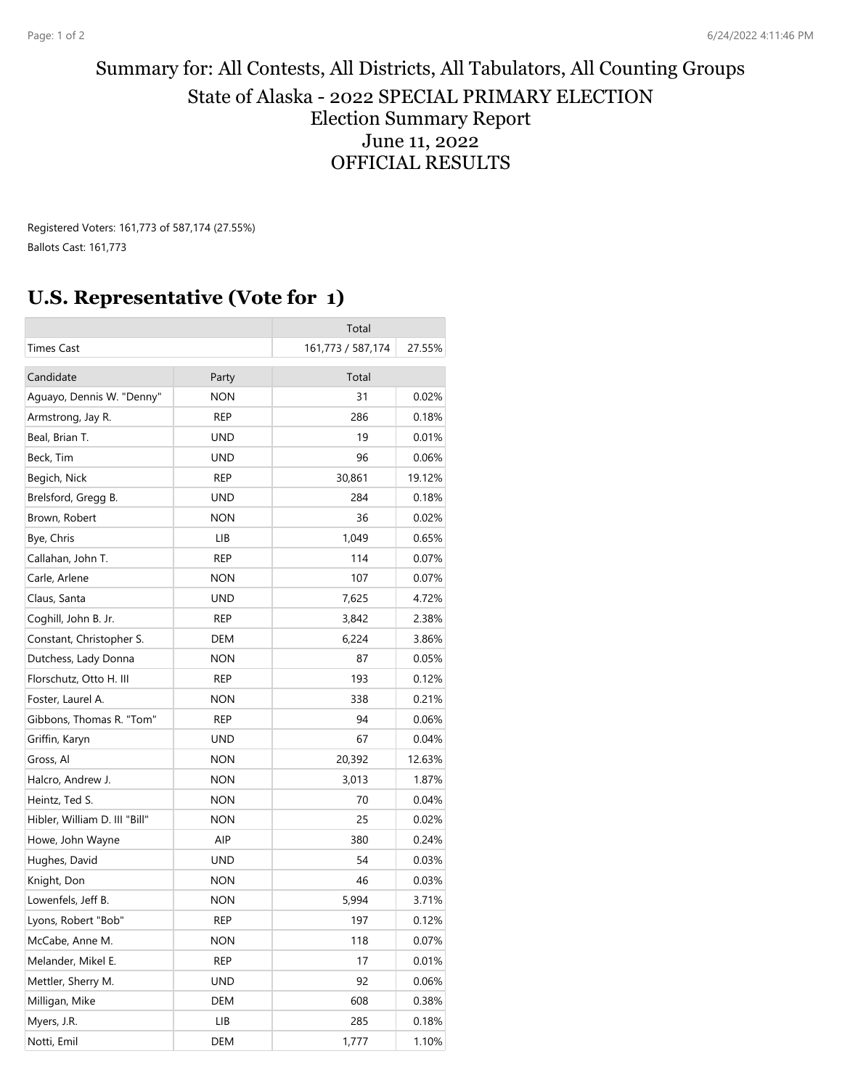## Summary for: All Contests, All Districts, All Tabulators, All Counting Groups State of Alaska - 2022 SPECIAL PRIMARY ELECTION Election Summary Report June 11, 2022 OFFICIAL RESULTS

Registered Voters: 161,773 of 587,174 (27.55%) Ballots Cast: 161,773

## **U.S. Representative (Vote for 1)**

|                               |            | Total             |        |
|-------------------------------|------------|-------------------|--------|
| Times Cast                    |            | 161,773 / 587,174 | 27.55% |
| Candidate                     | Party      | Total             |        |
| Aguayo, Dennis W. "Denny"     | <b>NON</b> | 31                | 0.02%  |
| Armstrong, Jay R.             | REP        | 286               | 0.18%  |
| Beal, Brian T.                | UND        | 19                | 0.01%  |
| Beck, Tim                     | <b>UND</b> | 96                | 0.06%  |
| Begich, Nick                  | REP        | 30,861            | 19.12% |
| Brelsford, Gregg B.           | UND        | 284               | 0.18%  |
| Brown, Robert                 | <b>NON</b> | 36                | 0.02%  |
| Bye, Chris                    | LIB        | 1,049             | 0.65%  |
| Callahan, John T.             | REP        | 114               | 0.07%  |
| Carle, Arlene                 | <b>NON</b> | 107               | 0.07%  |
| Claus, Santa                  | UND        | 7,625             | 4.72%  |
| Coghill, John B. Jr.          | rep        | 3,842             | 2.38%  |
| Constant, Christopher S.      | DEM        | 6,224             | 3.86%  |
| Dutchess, Lady Donna          | <b>NON</b> | 87                | 0.05%  |
| Florschutz, Otto H. III       | REP        | 193               | 0.12%  |
| Foster, Laurel A.             | <b>NON</b> | 338               | 0.21%  |
| Gibbons, Thomas R. "Tom"      | REP        | 94                | 0.06%  |
| Griffin, Karyn                | <b>UND</b> | 67                | 0.04%  |
| Gross, Al                     | <b>NON</b> | 20,392            | 12.63% |
| Halcro, Andrew J.             | <b>NON</b> | 3,013             | 1.87%  |
| Heintz, Ted S.                | <b>NON</b> | 70                | 0.04%  |
| Hibler, William D. III "Bill" | <b>NON</b> | 25                | 0.02%  |
| Howe, John Wayne              | AIP        | 380               | 0.24%  |
| Hughes, David                 | <b>UND</b> | 54                | 0.03%  |
| Knight, Don                   | <b>NON</b> | 46                | 0.03%  |
| Lowenfels, Jeff B.            | <b>NON</b> | 5,994             | 3.71%  |
| Lyons, Robert "Bob"           | <b>REP</b> | 197               | 0.12%  |
| McCabe, Anne M.               | <b>NON</b> | 118               | 0.07%  |
| Melander, Mikel E.            | <b>REP</b> | 17                | 0.01%  |
| Mettler, Sherry M.            | <b>UND</b> | 92                | 0.06%  |
| Milligan, Mike                | DEM        | 608               | 0.38%  |
| Myers, J.R.                   | LIB        | 285               | 0.18%  |
| Notti, Emil                   | DEM        | 1,777             | 1.10%  |